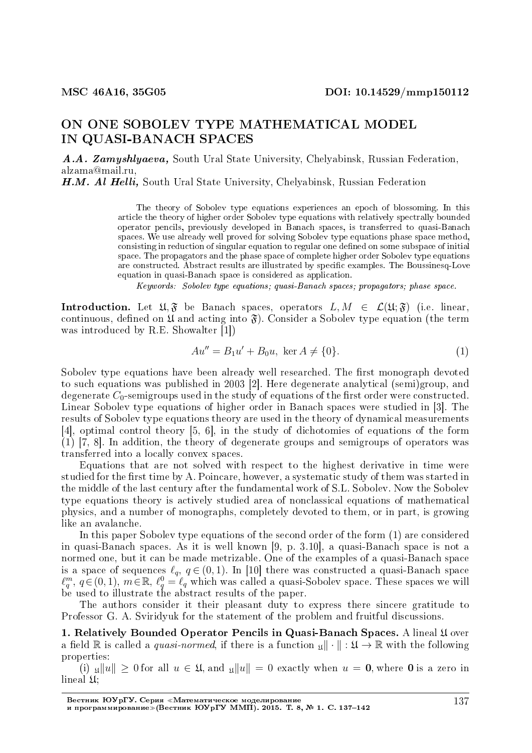# ON ONE SOBOLEV TYPE MATHEMATICAL MODEL IN QUASI-BANACH SPACES

A.A. Zamyshlyaeva, South Ural State University, Chelyabinsk, Russian Federation, alzama@mail.ru,

**H.M. Al Helli**, South Ural State University, Chelyabinsk, Russian Federation

The theory of Sobolev type equations experiences an epoch of blossoming. In this article the theory of higher order Sobolev type equations with relatively spectrally bounded operator pencils, previously developed in Banach spaces, is transferred to quasi-Banach spaces. We use already well proved for solving Sobolev type equations phase space method, consisting in reduction of singular equation to regular one dened on some subspace of initial space. The propagators and the phase space of complete higher order Sobolev type equations are constructed. Abstract results are illustrated by specific examples. The Boussinesq-Love equation in quasi-Banach space is considered as application.

Keywords: Sobolev type equations; quasi-Banach spaces; propagators; phase space.

**Introduction.** Let  $\mathfrak{U}, \mathfrak{F}$  be Banach spaces, operators  $L, M \in \mathcal{L}(\mathfrak{U}; \mathfrak{F})$  (i.e. linear, continuous, defined on  $\mathfrak{U}$  and acting into  $\mathfrak{F}$ ). Consider a Sobolev type equation (the term was introduced by R.E. Showalter [1])

$$
Au'' = B_1 u' + B_0 u, \text{ ker } A \neq \{0\}. \tag{1}
$$

Sobolev type equations have been already well researched. The first monograph devoted to such equations was published in 2003 [2]. Here degenerate analytical (semi)group, and degenerate  $C_0$ -semigroups used in the study of equations of the first order were constructed. Linear Sobolev type equations of higher order in Banach spaces were studied in [3]. The results of Sobolev type equations theory are used in the theory of dynamical measurements [4], optimal control theory [5, 6], in the study of dichotomies of equations of the form (1) [7, 8]. In addition, the theory of degenerate groups and semigroups of operators was transferred into a locally convex spaces.

Equations that are not solved with respect to the highest derivative in time were studied for the first time by A. Poincare, however, a systematic study of them was started in the middle of the last century after the fundamental work of S.L. Sobolev. Now the Sobolev type equations theory is actively studied area of nonclassical equations of mathematical physics, and a number of monographs, completely devoted to them, or in part, is growing like an avalanche.

In this paper Sobolev type equations of the second order of the form (1) are considered in quasi-Banach spaces. As it is well known [9, p. 3.10], a quasi-Banach space is not a normed one, but it can be made metrizable. One of the examples of a quasi-Banach space is a space of sequences  $\ell_q$ ,  $q \in (0,1)$ . In [10] there was constructed a quasi-Banach space  $\ell_q^m$ ,  $q \in (0,1)$ ,  $m \in \mathbb{R}$ ,  $\ell_q^0 = \ell_q$  which was called a quasi-Sobolev space. These spaces we will be used to illustrate the abstract results of the paper.

The authors consider it their pleasant duty to express there sincere gratitude to Professor G. A. Sviridyuk for the statement of the problem and fruitful discussions.

1. Relatively Bounded Operator Pencils in Quasi-Banach Spaces. A lineal  $\mathfrak U$  over a field R is called a *quasi-normed*, if there is a function  $\mathfrak{U} \cdot \mathfrak{V} \to \mathbb{R}$  with the following properties:

(i)  $\mu \| u \| \geq 0$  for all  $u \in \mathfrak{U}$ , and  $\mu \| u \| = 0$  exactly when  $u = 0$ , where 0 is a zero in lineal U;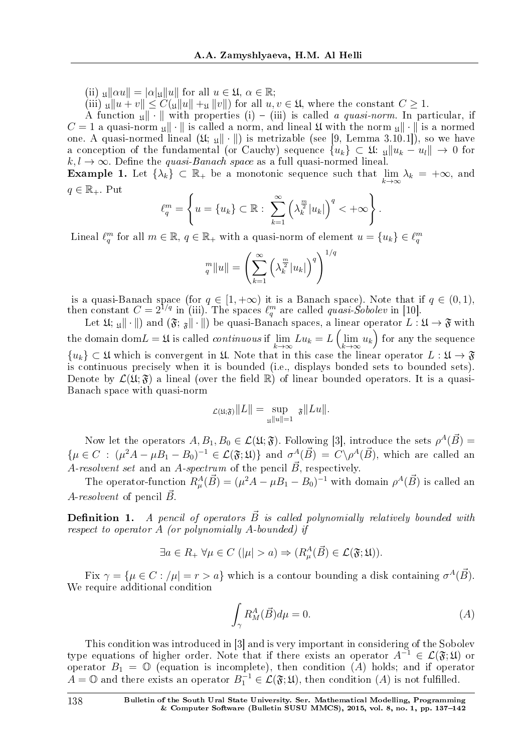$(\text{iii}) \mathfrak{U} \|\alpha u\| = |\alpha| \mathfrak{U} \|u\| \text{ for all } u \in \mathfrak{U}, \alpha \in \mathbb{R};$ 

 $\mathcal{L}(\text{iii}) \mathfrak{U} \| u + v \| \leq C(\mathfrak{U} \| u \| + \mathfrak{U} \| v \|)$  for all  $u, v \in \mathfrak{U}$ , where the constant  $C \geq 1$ .

A function <sub>µ</sub> $|| \cdot ||$  with properties (i) – (iii) is called a *quasi-norm*. In particular, if  $C = 1$  a quasi-norm  $\| \cdot \|$  is called a norm, and lineal  $\mathfrak U$  with the norm  $\| \cdot \|$  is a normed one. A quasi-normed lineal (Ω; <sub>μ</sub>|| · ||) is metrizable (see [9, Lemma 3.10.1]), so we have a conception of the fundamental (or Cauchy) sequence  $\{u_k\} \subset \mathfrak{U}$ :  $\mathfrak{U} |u_k - u_l| \to 0$  for  $k, l \rightarrow \infty$ . Define the *quasi-Banach space* as a full quasi-normed lineal.

**Example 1.** Let  $\{\lambda_k\} \subset \mathbb{R}_+$  be a monotonic sequence such that lim *k→∞*  $\lambda_k = +\infty$ , and  $q \in \mathbb{R}_+$ . Put

$$
\ell_q^m = \left\{ u = \{u_k\} \subset \mathbb{R} : \sum_{k=1}^{\infty} \left( \lambda_k^{\frac{m}{2}} |u_k| \right)^q < +\infty \right\}.
$$

Lineal  $\ell_q^m$  for all  $m \in \mathbb{R}$ ,  $q \in \mathbb{R}_+$  with a quasi-norm of element  $u = \{u_k\} \in \ell_q^m$ 

$$
\binom{m}{q} |u| = \left( \sum_{k=1}^{\infty} \left( \lambda \frac{m}{2} |u_k| \right)^q \right)^{1/q}
$$

is a quasi-Banach space (for  $q \in [1, +\infty)$  it is a Banach space). Note that if  $q \in (0, 1)$ , then constant  $C = 2^{1/q}$  in (iii). The spaces  $\ell_q^m$  are called *quasi-Sobolev* in [10].

Let  $\mathfrak{U}; \mathfrak{U} \vert \cdot \vert \vert$  and  $(\mathfrak{F}; \mathfrak{F} \vert \vert \cdot \vert \vert)$  be quasi-Banach spaces, a linear operator  $L : \mathfrak{U} \to \mathfrak{F}$  with the domain dom $L = \mathfrak{U}$  is called *continuous* if  $\lim_{h \to 0}$ *k→∞*  $Lu_k = L\left(\lim_{k \to \infty} \frac{1}{k}\right]$ *k→∞*  $\left(u_k\right)$  for any the sequence *{* $u_k$ *}* ⊂ U which is convergent in U. Note that in this case the linear operator  $L: \mathfrak{U} \to \mathfrak{F}$ is continuous precisely when it is bounded (i.e., displays bonded sets to bounded sets). Denote by  $\mathcal{L}(\mathfrak{U};\mathfrak{F})$  a lineal (over the field  $\mathbb{R}$ ) of linear bounded operators. It is a quasi-Banach space with quasi-norm

$$
\mathcal{L}(\mathfrak{U};\mathfrak{F})||L|| = \sup_{\mathfrak{U}} \sup_{\|\mathfrak{U}\| = 1} \mathfrak{F}||Lu||.
$$

Now let the operators  $A, B_1, B_0 \in \mathcal{L}(\mathfrak{U}; \mathfrak{F})$ . Following [3], introduce the sets  $\rho^A(\vec{B}) =$  $\{\mu \in C : (\mu^2 A - \mu B_1 - B_0)^{-1} \in \mathcal{L}(\mathfrak{F}; \mathfrak{U})\}\$ and  $\sigma^A(\vec{B}) = C \setminus \rho^A(\vec{B})$ , which are called an *A*-resolvent set and an *A*-spectrum of the pencil  $\vec{B}$ , respectively.

The operator-function  $R^A_\mu(\vec{B}) = (\mu^2 A - \mu B_1 - B_0)^{-1}$  with domain  $\rho^A(\vec{B})$  is called an *A*-resolvent of pencil  $\vec{B}$ .

**Definition 1.** A pencil of operators  $\vec{B}$  is called polynomially relatively bounded with respect to operator *A* (or polynomially *A*-bounded) if

$$
\exists a \in R_+ \,\forall \mu \in C \, (|\mu| > a) \Rightarrow (R^A_\mu(\vec{B}) \in \mathcal{L}(\mathfrak{F}; \mathfrak{U})).
$$

Fix  $\gamma = {\mu \in C : |\mu| = r > a}$  which is a contour bounding a disk containing  $\sigma^A(\vec{B})$ . We require additional condition

$$
\int_{\gamma} R_M^A(\vec{B}) d\mu = 0. \tag{A}
$$

This condition was introduced in [3] and is very important in considering of the Sobolev type equations of higher order. Note that if there exists an operator  $A^{-1} \in \mathcal{L}(\mathfrak{F};\mathfrak{U})$  or operator  $B_1 = \mathbb{O}$  (equation is incomplete), then condition  $(A)$  holds; and if operator  $A = \mathbb{O}$  and there exists an operator  $B_1^{-1} \in \mathcal{L}(\mathfrak{F}; \mathfrak{U})$ , then condition  $(A)$  is not fulfilled.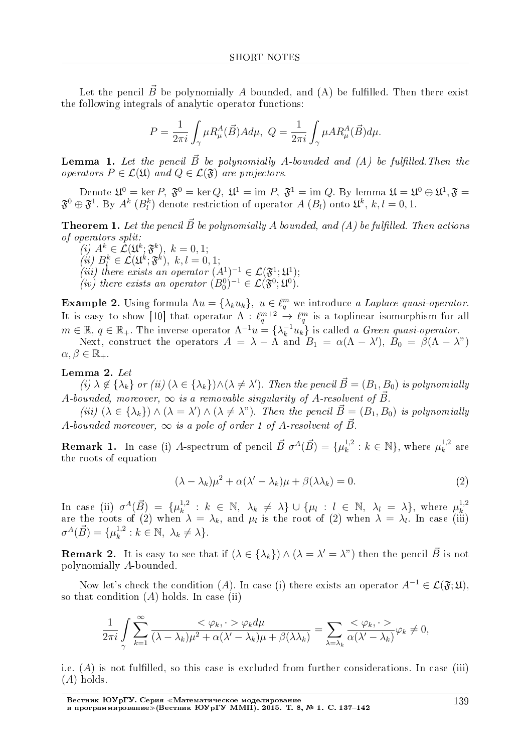Let the pencil  $\vec{B}$  be polynomially A bounded, and (A) be fulfilled. Then there exist the following integrals of analytic operator functions:

$$
P = \frac{1}{2\pi i} \int_{\gamma} \mu R^A_{\mu}(\vec{B}) A d\mu, \ Q = \frac{1}{2\pi i} \int_{\gamma} \mu A R^A_{\mu}(\vec{B}) d\mu.
$$

**Lemma 1.** Let the pencil  $\vec{B}$  be polynomially *A*-bounded and  $(A)$  be fulfilled. Then the operators  $P \in \mathcal{L}(\mathfrak{U})$  and  $Q \in \mathcal{L}(\mathfrak{F})$  are projectors.

Denote  $\mathfrak{U}^0 = \ker P$ ,  $\mathfrak{F}^0 = \ker Q$ ,  $\mathfrak{U}^1 = \mathrm{im } P$ ,  $\mathfrak{F}^1 = \mathrm{im } Q$ . By lemma  $\mathfrak{U} = \mathfrak{U}^0 \oplus \mathfrak{U}^1, \mathfrak{F} =$  $\mathfrak{F}^0\oplus\mathfrak{F}^1$ . By  $A^k$   $(B_l^k)$  denote restriction of operator  $A$   $(B_l)$  onto  $\mathfrak{U}^k$ ,  $k,l=0,1$ .

**Theorem 1.** Let the pencil  $\vec{B}$  be polynomially A bounded, and (A) be fulfilled. Then actions of operators split:

 $\bar{\mathcal{L}}(i)$   $A^k \in \bar{\mathcal{L}}(\mathfrak{U}^k; \mathfrak{F}^k), k = 0, 1;$ 

 $(iii)$   $B_l^k \in \mathcal{L}(\mathfrak{U}^k; \mathfrak{F}^k), k, l = 0, 1;$ 

(*iii*) there exists an operator  $(A^1)^{-1} \in \mathcal{L}(\mathfrak{F}^1;\mathfrak{U}^1);$ 

(*iv*) there exists an operator  $(B_0^0)^{-1} \in \mathcal{L}(\mathfrak{F}^0;\mathfrak{U}^0)$ .

**Example 2.** Using formula  $\Lambda u = {\lambda_k u_k}$ ,  $u \in \ell_q^m$  we introduce a Laplace quasi-operator. It is easy to show [10] that operator  $\Lambda$  :  $\ell_q^{m+2} \to \ell_q^m$  is a toplinear isomorphism for all  $m \in \mathbb{R}, q \in \mathbb{R}_+$ . The inverse operator  $\Lambda^{-1}u = \{\lambda_k^{-1}u_k\}$  is called a Green quasi-operator. Next, construct the operators  $A = \lambda - \Lambda$  and  $B_1 = \alpha(\Lambda - \lambda')$ ,  $B_0 = \beta(\Lambda - \lambda'')$  $\alpha, \beta \in \mathbb{R}_+$ .

#### Lemma 2. Let

 $(i) \lambda \notin {\lambda_k}$  or (ii)  $(\lambda \in {\lambda_k}) \wedge (\lambda \neq \lambda')$ . Then the pencil  $\vec{B} = (B_1, B_0)$  is polynomially *A*-bounded, moreover,  $\infty$  is a removable singularity of *A*-resolvent of  $\vec{B}$ .

(iii)  $(\lambda \in {\lambda_k}) \wedge (\lambda = \lambda') \wedge (\lambda \neq \lambda^r)$ . Then the pencil  $\vec{B} = (B_1, B_0)$  is polynomially *A*-bounded moreover,  $\infty$  is a pole of order 1 of *A*-resolvent of *B*.

**Remark 1.** In case (i) *A*-spectrum of pencil  $\vec{B} \sigma^A(\vec{B}) = {\mu_k^{1,2}}$  $k_k^{1,2}: k \in \mathbb{N}$ , where  $\mu_k^{1,2}$  $\frac{1}{k}$ <sup>1,2</sup> are the roots of equation

$$
(\lambda - \lambda_k)\mu^2 + \alpha(\lambda' - \lambda_k)\mu + \beta(\lambda \lambda_k) = 0.
$$
\n(2)

In case (ii)  $\sigma^{A}(\vec{B}) = {\mu_{k}^{1,2}}$  $\mu_k^{1,2}$  : *k* ∈ N,  $\lambda_k$  ≠  $\lambda$  } ∪ { $\mu_l$  :  $l$  ∈ N,  $\lambda_l$  =  $\lambda$ }, where  $\mu_k^{1,2}$ are the roots of (2) when  $\lambda = \lambda_k$ , and  $\mu_l$  is the root of (2) when  $\lambda = \lambda_l$ . In case (iii)  $\sigma^{A}(\vec{B}) = {\mu_{k}^{1,2}}$  $\lambda_k^{1,2}: k \in \mathbb{N}, \lambda_k \neq \lambda$ .

**Remark 2.** It is easy to see that if  $(\lambda \in \{\lambda_k\}) \wedge (\lambda = \lambda' = \lambda'')$  then the pencil  $\vec{B}$  is not polynomially *A*-bounded.

Now let's check the condition (*A*). In case (i) there exists an operator  $A^{-1} \in \mathcal{L}(\mathfrak{F}; \mathfrak{U})$ , so that condition (*A*) holds. In case (ii)

$$
\frac{1}{2\pi i} \int\limits_{\gamma} \sum_{k=1}^{\infty} \frac{<\varphi_k, \cdot> \varphi_k d\mu}{(\lambda - \lambda_k)\mu^2 + \alpha(\lambda' - \lambda_k)\mu + \beta(\lambda \lambda_k)} = \sum_{\lambda = \lambda_k} \frac{<\varphi_k, \cdot>}{\alpha(\lambda' - \lambda_k)} \varphi_k \neq 0,
$$

i.e.  $(A)$  is not fulfilled, so this case is excluded from further considerations. In case (iii) (*A*) holds.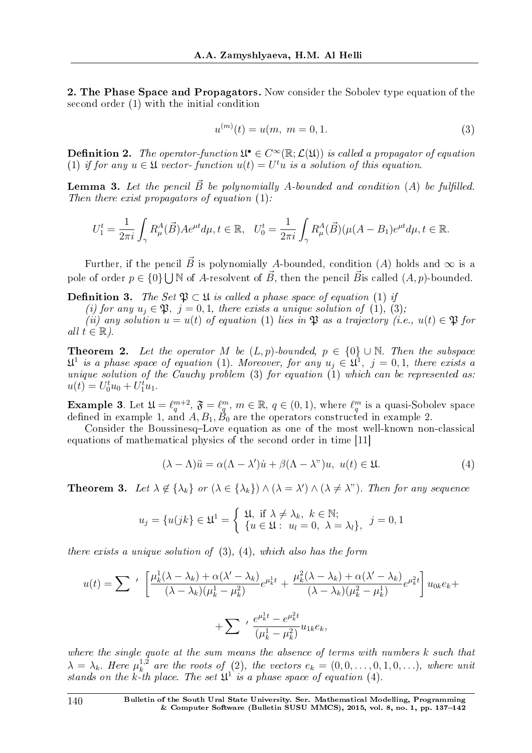2. The Phase Space and Propagators. Now consider the Sobolev type equation of the second order (1) with the initial condition

$$
u^{(m)}(t) = u(m, m = 0, 1.
$$
\n(3)

**Definition 2.** The operator-function  $\mathfrak{U}^{\bullet} \in C^{\infty}(\mathbb{R}; \mathcal{L}(\mathfrak{U}))$  is called a propagator of equation (1) if for any  $u \in \mathfrak{U}$  vector-function  $u(t) = U^t u$  is a solution of this equation.

**Lemma 3.** Let the pencil  $\vec{B}$  be polynomially *A*-bounded and condition (*A*) be fulfilled. Then there exist propagators of equation  $(1)$ :

$$
U_1^t = \frac{1}{2\pi i} \int_{\gamma} R^A_{\mu}(\vec{B}) A e^{\mu t} d\mu, t \in \mathbb{R}, \quad U_0^t = \frac{1}{2\pi i} \int_{\gamma} R^A_{\mu}(\vec{B}) (\mu(A - B_1) e^{\mu t} d\mu, t \in \mathbb{R}.
$$

Further, if the pencil  $\vec{B}$  is polynomially *A*-bounded, condition (*A*) holds and  $\infty$  is a pole of order  $p \in \{0\} \bigcup \mathbb{N}$  of *A*-resolvent of  $\vec{B}$ , then the pencil  $\vec{B}$ is called  $(A, p)$ -bounded.

**Definition 3.** The Set  $\mathfrak{P} \subset \mathfrak{U}$  is called a phase space of equation (1) if

(i) for any  $u_j \in \mathfrak{P}$ ,  $j = 0, 1$ , there exists a unique solution of (1), (3);

(*ii*) any solution  $u = u(t)$  of equation (1) lies in  $\mathfrak P$  as a trajectory (*i.e.*,  $u(t) \in \mathfrak P$  for  $all t \in \mathbb{R}$ ).

**Theorem 2.** Let the operator *M* be  $(L, p)$ -bounded,  $p \in \{0\} \cup \mathbb{N}$ . Then the subspace  $\mathfrak{U}^1$  is a phase space of equation (1). Moreover, for any  $u_j \in \widetilde{\mathfrak{U}}^1$ ,  $j = 0, 1$ , there exists a unique solution of the Cauchy problem  $(3)$  for equation  $(1)$  which can be represented as:  $u(t) = U_0^t u_0 + U_1^t u_1.$ 

**Example 3**. Let  $\mathfrak{U} = \ell_q^{m+2}$ ,  $\mathfrak{F} = \ell_q^m$ ,  $m \in \mathbb{R}$ ,  $q \in (0,1)$ , where  $\ell_q^m$  is a quasi-Sobolev space defined in example 1, and  $A, B_1, B_0$  are the operators constructed in example 2.

Consider the Boussinesq-Love equation as one of the most well-known non-classical equations of mathematical physics of the second order in time [11]

$$
(\lambda - \Lambda)\ddot{u} = \alpha(\Lambda - \lambda')\dot{u} + \beta(\Lambda - \lambda'')u, \ u(t) \in \mathfrak{U}.
$$
 (4)

**Theorem 3.** Let  $\lambda \notin {\lambda_k}$  or  $(\lambda \in {\lambda_k}) \wedge (\lambda = \lambda') \wedge (\lambda \neq \lambda'')$ . Then for any sequence

$$
u_j = \{u(jk) \in \mathfrak{U}^1 = \begin{cases} \mathfrak{U}, & \text{if } \lambda \neq \lambda_k, \ k \in \mathbb{N}; \\ \{u \in \mathfrak{U} : \ u_l = 0, \ \lambda = \lambda_l\}, & j = 0, 1 \end{cases}
$$

there exists a unique solution of  $(3)$ ,  $(4)$ , which also has the form

$$
u(t) = \sum' \left[ \frac{\mu_k^1 (\lambda - \lambda_k) + \alpha (\lambda' - \lambda_k)}{(\lambda - \lambda_k)(\mu_k^1 - \mu_k^2)} e^{\mu_k^1 t} + \frac{\mu_k^2 (\lambda - \lambda_k) + \alpha (\lambda' - \lambda_k)}{(\lambda - \lambda_k)(\mu_k^2 - \mu_k^1)} e^{\mu_k^2 t} \right] u_{0k} e_k + \sum' \frac{e^{\mu_k^1 t} - e^{\mu_k^2 t}}{(\mu_k^1 - \mu_k^2)} u_{1k} e_k,
$$

where the single quote at the sum means the absence of terms with numbers *k* such that  $\lambda = \lambda_k$ . Here  $\mu_k^{1,2}$  $a_k^{1,2}$  are the roots of (2), the vectors  $e_k = (0,0,\ldots,0,1,0,\ldots)$ , where unit stands on the  $k$ -th place. The set  $\mathfrak{U}^1$  is a phase space of equation (4).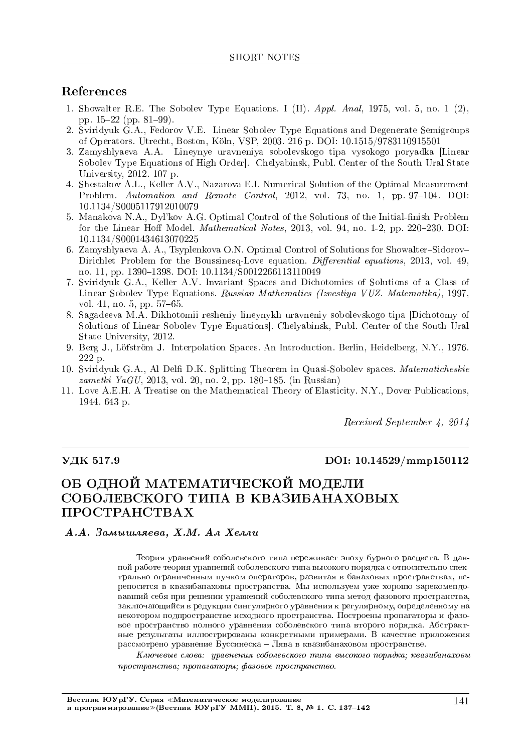## References

- 1. Showalter R.E. The Sobolev Type Equations. I (II). Appl. Anal, 1975, vol. 5, no. 1 (2), pp.  $15-22$  (pp.  $81-99$ ).
- 2. Sviridyuk G.A., Fedorov V.E. Linear Sobolev Type Equations and Degenerate Semigroups of Operators. Utrecht, Boston, Koln, VSP, 2003. 216 p. DOI: 10.1515/9783110915501
- 3. Zamyshlyaeva A.A. Lineynye uravneniya sobolevskogo tipa vysokogo poryadka [Linear Sobolev Type Equations of High Order]. Chelyabinsk, Publ. Center of the South Ural State University, 2012. 107 p.
- 4. Shestakov A.L., Keller A.V., Nazarova E.I. Numerical Solution of the Optimal Measurement Problem. Automation and Remote Control, 2012, vol. 73, no. 1, pp. 97–104. DOI: 10.1134/S0005117912010079
- 5. Manakova N.A., Dyl'kov A.G. Optimal Control of the Solutions of the Initial-finish Problem for the Linear Hoff Model. *Mathematical Notes*, 2013, vol. 94, no. 1-2, pp. 220–230. DOI: 10.1134/S0001434613070225
- 6. Zamyshlyaeva A. A., Tsyplenkova O.N. Optimal Control of Solutions for Showalter-Sidorov-Dirichlet Problem for the Boussinesq-Love equation. Differential equations, 2013, vol. 49, no. 11, pp. 1390-1398. DOI: 10.1134/S0012266113110049
- 7. Sviridyuk G.A., Keller A.V. Invariant Spaces and Dichotomies of Solutions of a Class of Linear Sobolev Type Equations. Russian Mathematics (Izvestiya VUZ. Matematika), 1997, vol. 41, no. 5, pp.  $57-65$ .
- 8. Sagadeeva M.A. Dikhotomii resheniy lineynykh uravneniy sobolevskogo tipa [Dichotomy of Solutions of Linear Sobolev Type Equations]. Chelyabinsk, Publ. Center of the South Ural State University, 2012.
- 9. Berg J., Löfström J. Interpolation Spaces. An Introduction. Berlin, Heidelberg, N.Y., 1976. 222 p.
- 10. Sviridyuk G.A., Al Delfi D.K. Splitting Theorem in Quasi-Sobolev spaces. *Matematicheskie*  $zametki$  YaGU, 2013, vol. 20, no. 2, pp. 180–185. (in Russian)
- 11. Love A.E.H. A Treatise on the Mathematical Theory of Elasticity. N.Y., Dover Publications, 1944. 643 p.

Received September 4, 2014

### VДК 517.9 DOI: 10.14529/mmp150112

# ОБ ОДНОЙ МАТЕМАТИЧЕСКОЙ МОДЕЛИ COБОЛЕВСКОГО ТИПА В КВАЗИБАНАХОВЫХ **IIPOCTPAHCTBAX**

## $A.A.$  Замышляева, Х.М. Ал Хелли

Теория уравнений соболевского типа переживает эпоху бурного расцвета. В данной работе теория уравнений соболевского типа высокого порядка с относительно спектрально ограниченным пучком операторов, развитая в банаховых пространствах, переносится в квазибанаховы пространства. Мы используем уже хорошо зарекомендовавший себя при решении уравнений соболевского типа метод фазового пространства, заключающийся в редукции сингулярного уравнения к регулярному, определенному на некотором подпространстве исходного пространства. Построены пропагаторы и фазовое пространство полного уравнения соболевского типа второго порялка. Абстрактные результаты иллюстрированы конкретными примерами. В качестве приложения рассмотрено уравнение Буссинеска – Лява в квазибанаховом пространстве.

 $K$ лючевые слова: уравнения соболевского типа высокого порядка; квазибанаховы пространства; пропагаторы; фазовое пространство.